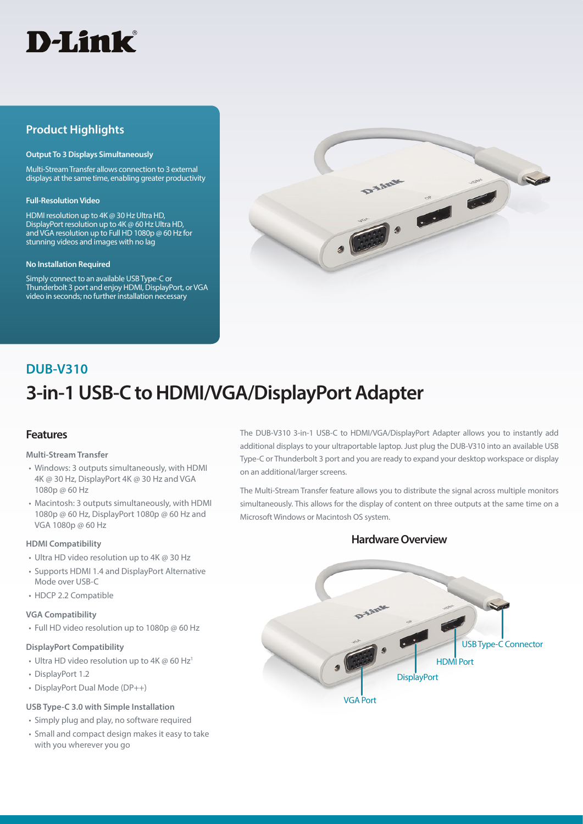

# **Product Highlights**

#### **Output To 3 Displays Simultaneously**

Multi-Stream Transfer allows connection to 3 external displays at the same time, enabling greater productivity

#### **Full-Resolution Video**

HDMI resolution up to 4K @ 30 Hz Ultra HD, DisplayPort resolution up to 4K @ 60 Hz Ultra HD, and VGA resolution up to Full HD 1080p @ 60 Hz for stunning videos and images with no lag

#### **No Installation Required**

Simply connect to an available USB Type-C or Thunderbolt 3 port and enjoy HDMI, DisplayPort, or VGA video in seconds; no further installation necessary



# **3-in-1 USB-C to HDMI/VGA/DisplayPort Adapter DUB-V310**

# **Features**

#### **Multi-Stream Transfer**

- Windows: 3 outputs simultaneously, with HDMI 4K @ 30 Hz, DisplayPort 4K @ 30 Hz and VGA 1080p @ 60 Hz
- Macintosh: 3 outputs simultaneously, with HDMI 1080p @ 60 Hz, DisplayPort 1080p @ 60 Hz and VGA 1080p @ 60 Hz

#### **HDMI Compatibility**

- Ultra HD video resolution up to 4K @ 30 Hz
- Supports HDMI 1.4 and DisplayPort Alternative Mode over USB-C
- HDCP 2.2 Compatible

#### **VGA Compatibility**

• Full HD video resolution up to 1080p @ 60 Hz

#### **DisplayPort Compatibility**

- Ultra HD video resolution up to 4K  $\omega$  60 Hz<sup>1</sup>
- DisplayPort 1.2
- DisplayPort Dual Mode (DP++)

#### **USB Type-C 3.0 with Simple Installation**

- Simply plug and play, no software required
- Small and compact design makes it easy to take with you wherever you go

The DUB-V310 3-in-1 USB-C to HDMI/VGA/DisplayPort Adapter allows you to instantly add additional displays to your ultraportable laptop. Just plug the DUB-V310 into an available USB Type-C or Thunderbolt 3 port and you are ready to expand your desktop workspace or display on an additional/larger screens.

The Multi-Stream Transfer feature allows you to distribute the signal across multiple monitors simultaneously. This allows for the display of content on three outputs at the same time on a Microsoft Windows or Macintosh OS system.

# **Hardware Overview**